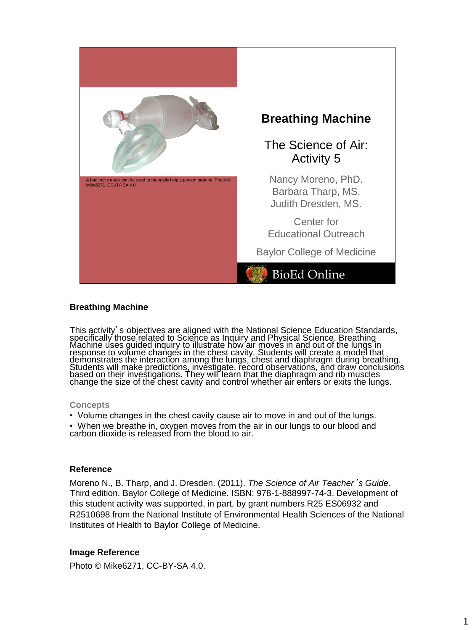

#### **Breathing Machine**

This activity's objectives are aligned with the National Science Education Standards, specifically those related to Science as Inquiry and Physical Science. Breathing Machine uses guided inquiry to illustrate how air moves in and out of the lungs in response to volume changes in the chest cavity. Students will create a model that demonstrates the interaction among the lungs, chest and diaphragm during breathing. Students will make predictions, investigate, record observations, and draw conclusions based on their investigations. They will learn that the diaphragm and rib muscles change the size of the chest cavity and control whether air enters or exits the lungs.

#### **Concepts**

• Volume changes in the chest cavity cause air to move in and out of the lungs.

• When we breathe in, oxygen moves from the air in our lungs to our blood and carbon dioxide is released from the blood to air.

#### **Reference**

Moreno N., B. Tharp, and J. Dresden. (2011). *The Science of Air Teacher*'*s Guide.* Third edition. Baylor College of Medicine. ISBN: 978-1-888997-74-3. Development of this student activity was supported, in part, by grant numbers R25 ES06932 and R2510698 from the National Institute of Environmental Health Sciences of the National Institutes of Health to Baylor College of Medicine.

## **Image Reference**

Photo © Mike6271, CC-BY-SA 4.0.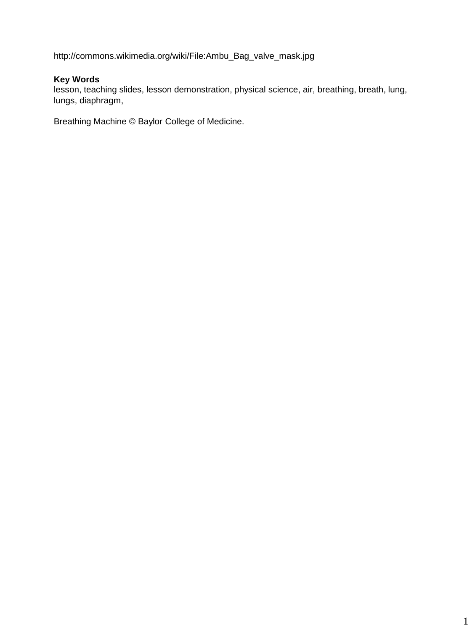http://commons.wikimedia.org/wiki/File:Ambu\_Bag\_valve\_mask.jpg

# **Key Words**

lesson, teaching slides, lesson demonstration, physical science, air, breathing, breath, lung, lungs, diaphragm,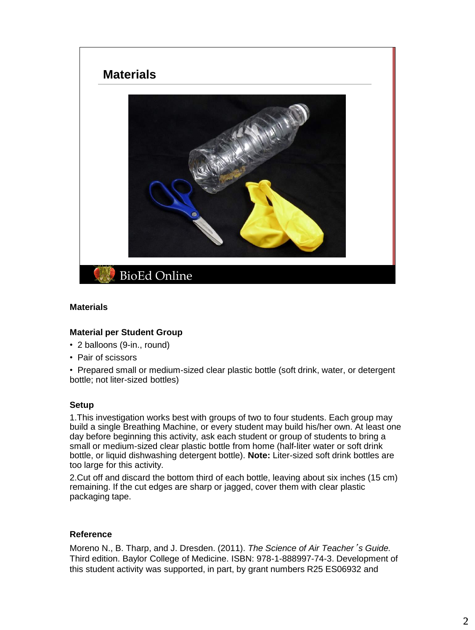

#### **Materials**

## **Material per Student Group**

- 2 balloons (9-in., round)
- Pair of scissors

• Prepared small or medium-sized clear plastic bottle (soft drink, water, or detergent bottle; not liter-sized bottles)

#### **Setup**

1.This investigation works best with groups of two to four students. Each group may build a single Breathing Machine, or every student may build his/her own. At least one day before beginning this activity, ask each student or group of students to bring a small or medium-sized clear plastic bottle from home (half-liter water or soft drink bottle, or liquid dishwashing detergent bottle). **Note:** Liter-sized soft drink bottles are too large for this activity.

2.Cut off and discard the bottom third of each bottle, leaving about six inches (15 cm) remaining. If the cut edges are sharp or jagged, cover them with clear plastic packaging tape.

## **Reference**

Moreno N., B. Tharp, and J. Dresden. (2011). *The Science of Air Teacher*'*s Guide.* Third edition. Baylor College of Medicine. ISBN: 978-1-888997-74-3. Development of this student activity was supported, in part, by grant numbers R25 ES06932 and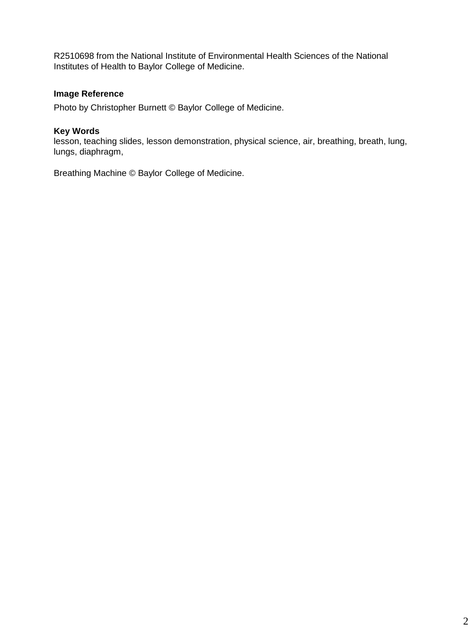R2510698 from the National Institute of Environmental Health Sciences of the National Institutes of Health to Baylor College of Medicine.

# **Image Reference**

Photo by Christopher Burnett © Baylor College of Medicine.

## **Key Words**

lesson, teaching slides, lesson demonstration, physical science, air, breathing, breath, lung, lungs, diaphragm,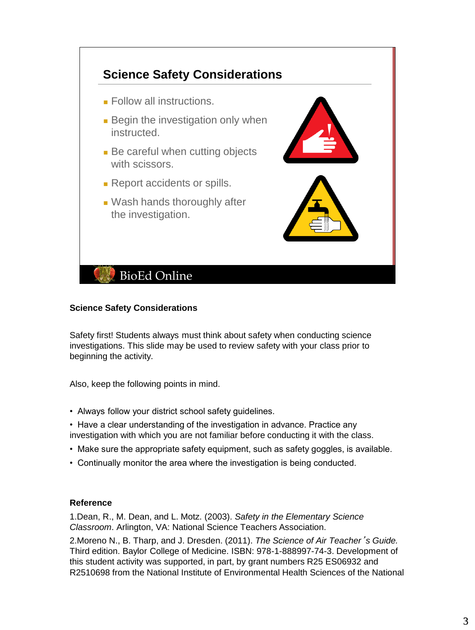

## **Science Safety Considerations**

Safety first! Students always must think about safety when conducting science investigations. This slide may be used to review safety with your class prior to beginning the activity.

Also, keep the following points in mind.

- Always follow your district school safety guidelines.
- Have a clear understanding of the investigation in advance. Practice any investigation with which you are not familiar before conducting it with the class.
- Make sure the appropriate safety equipment, such as safety goggles, is available.
- Continually monitor the area where the investigation is being conducted.

#### **Reference**

1.Dean, R., M. Dean, and L. Motz. (2003). *Safety in the Elementary Science Classroom*. Arlington, VA: National Science Teachers Association.

2.Moreno N., B. Tharp, and J. Dresden. (2011). *The Science of Air Teacher*'*s Guide.* Third edition. Baylor College of Medicine. ISBN: 978-1-888997-74-3. Development of this student activity was supported, in part, by grant numbers R25 ES06932 and R2510698 from the National Institute of Environmental Health Sciences of the National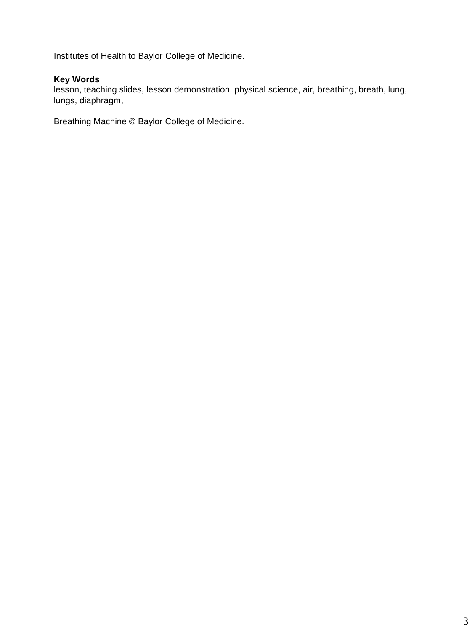Institutes of Health to Baylor College of Medicine.

# **Key Words**

lesson, teaching slides, lesson demonstration, physical science, air, breathing, breath, lung, lungs, diaphragm,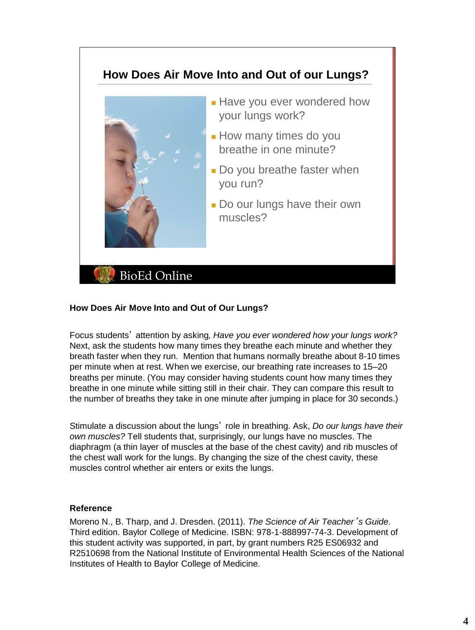# **BioEd Online How Does Air Move Into and Out of our Lungs?** ■ Have you ever wondered how your lungs work? ■ How many times do you breathe in one minute? ■ Do you breathe faster when you run? ■ Do our lungs have their own muscles?

# **How Does Air Move Into and Out of Our Lungs?**

Focus students' attention by asking*, Have you ever wondered how your lungs work?*  Next, ask the students how many times they breathe each minute and whether they breath faster when they run. Mention that humans normally breathe about 8-10 times per minute when at rest. When we exercise, our breathing rate increases to 15–20 breaths per minute. (You may consider having students count how many times they breathe in one minute while sitting still in their chair. They can compare this result to the number of breaths they take in one minute after jumping in place for 30 seconds.)

Stimulate a discussion about the lungs' role in breathing. Ask, *Do our lungs have their own muscles?* Tell students that, surprisingly, our lungs have no muscles. The diaphragm (a thin layer of muscles at the base of the chest cavity) and rib muscles of the chest wall work for the lungs. By changing the size of the chest cavity, these muscles control whether air enters or exits the lungs.

## **Reference**

Moreno N., B. Tharp, and J. Dresden. (2011). *The Science of Air Teacher*'*s Guide.* Third edition. Baylor College of Medicine. ISBN: 978-1-888997-74-3. Development of this student activity was supported, in part, by grant numbers R25 ES06932 and R2510698 from the National Institute of Environmental Health Sciences of the National Institutes of Health to Baylor College of Medicine.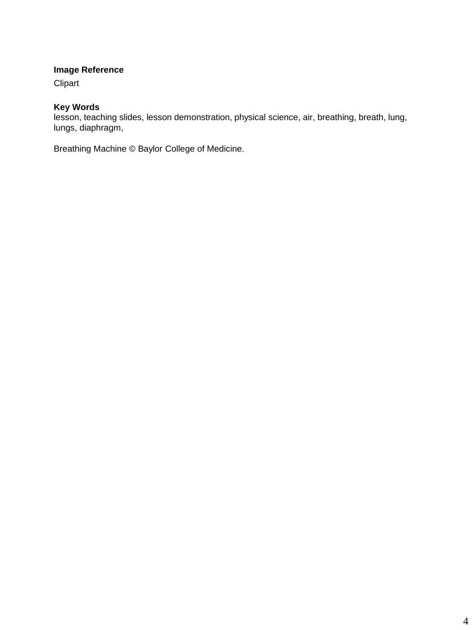# **Image Reference**

Clipart

# **Key Words**

lesson, teaching slides, lesson demonstration, physical science, air, breathing, breath, lung, lungs, diaphragm,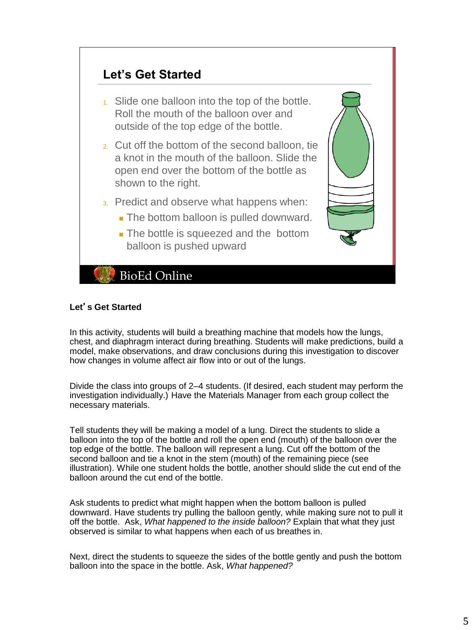

# **Let**'**s Get Started**

In this activity, students will build a breathing machine that models how the lungs, chest, and diaphragm interact during breathing. Students will make predictions, build a model, make observations, and draw conclusions during this investigation to discover how changes in volume affect air flow into or out of the lungs.

Divide the class into groups of 2–4 students. (If desired, each student may perform the investigation individually.) Have the Materials Manager from each group collect the necessary materials.

Tell students they will be making a model of a lung. Direct the students to slide a balloon into the top of the bottle and roll the open end (mouth) of the balloon over the top edge of the bottle. The balloon will represent a lung. Cut off the bottom of the second balloon and tie a knot in the stem (mouth) of the remaining piece (see illustration). While one student holds the bottle, another should slide the cut end of the balloon around the cut end of the bottle.

Ask students to predict what might happen when the bottom balloon is pulled downward. Have students try pulling the balloon gently, while making sure not to pull it off the bottle. Ask, *What happened to the inside balloon?* Explain that what they just observed is similar to what happens when each of us breathes in.

Next, direct the students to squeeze the sides of the bottle gently and push the bottom balloon into the space in the bottle. Ask, *What happened?*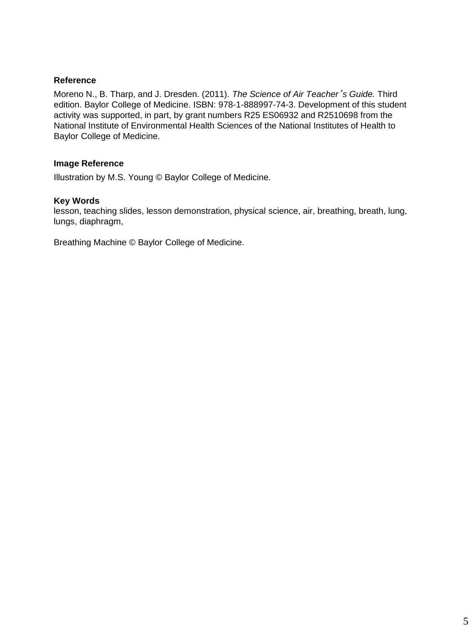Moreno N., B. Tharp, and J. Dresden. (2011). *The Science of Air Teacher*'*s Guide.* Third edition. Baylor College of Medicine. ISBN: 978-1-888997-74-3. Development of this student activity was supported, in part, by grant numbers R25 ES06932 and R2510698 from the National Institute of Environmental Health Sciences of the National Institutes of Health to Baylor College of Medicine.

# **Image Reference**

Illustration by M.S. Young © Baylor College of Medicine.

#### **Key Words**

lesson, teaching slides, lesson demonstration, physical science, air, breathing, breath, lung, lungs, diaphragm,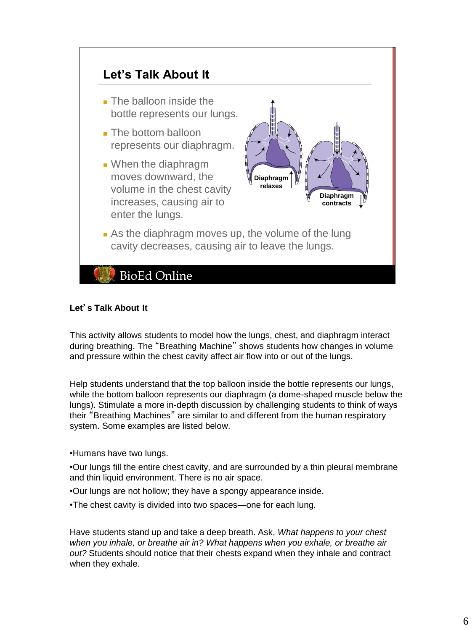

# **Let**'**s Talk About It**

This activity allows students to model how the lungs, chest, and diaphragm interact during breathing. The "Breathing Machine" shows students how changes in volume and pressure within the chest cavity affect air flow into or out of the lungs.

Help students understand that the top balloon inside the bottle represents our lungs, while the bottom balloon represents our diaphragm (a dome-shaped muscle below the lungs). Stimulate a more in-depth discussion by challenging students to think of ways their "Breathing Machines" are similar to and different from the human respiratory system. Some examples are listed below.

•Humans have two lungs.

•Our lungs fill the entire chest cavity, and are surrounded by a thin pleural membrane and thin liquid environment. There is no air space.

•Our lungs are not hollow; they have a spongy appearance inside.

•The chest cavity is divided into two spaces—one for each lung.

Have students stand up and take a deep breath. Ask, *What happens to your chest when you inhale, or breathe air in? What happens when you exhale, or breathe air out?* Students should notice that their chests expand when they inhale and contract when they exhale.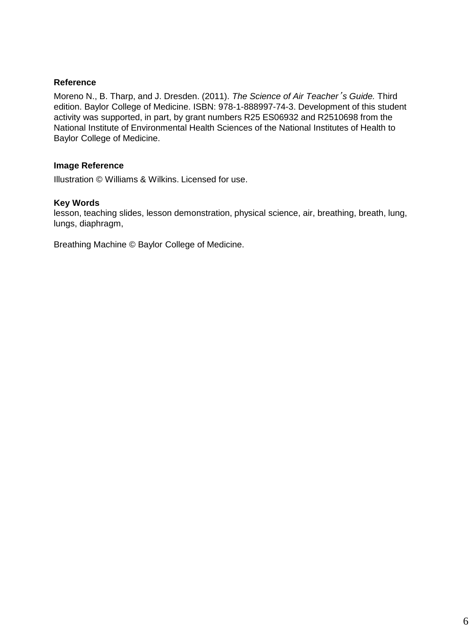Moreno N., B. Tharp, and J. Dresden. (2011). *The Science of Air Teacher*'*s Guide.* Third edition. Baylor College of Medicine. ISBN: 978-1-888997-74-3. Development of this student activity was supported, in part, by grant numbers R25 ES06932 and R2510698 from the National Institute of Environmental Health Sciences of the National Institutes of Health to Baylor College of Medicine.

#### **Image Reference**

Illustration © Williams & Wilkins. Licensed for use.

#### **Key Words**

lesson, teaching slides, lesson demonstration, physical science, air, breathing, breath, lung, lungs, diaphragm,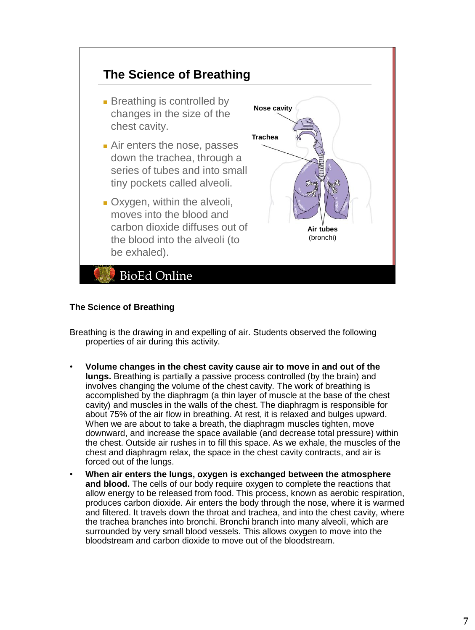

## **The Science of Breathing**

Breathing is the drawing in and expelling of air. Students observed the following properties of air during this activity.

- **Volume changes in the chest cavity cause air to move in and out of the lungs.** Breathing is partially a passive process controlled (by the brain) and involves changing the volume of the chest cavity. The work of breathing is accomplished by the diaphragm (a thin layer of muscle at the base of the chest cavity) and muscles in the walls of the chest. The diaphragm is responsible for about 75% of the air flow in breathing. At rest, it is relaxed and bulges upward. When we are about to take a breath, the diaphragm muscles tighten, move downward, and increase the space available (and decrease total pressure) within the chest. Outside air rushes in to fill this space. As we exhale, the muscles of the chest and diaphragm relax, the space in the chest cavity contracts, and air is forced out of the lungs.
- **When air enters the lungs, oxygen is exchanged between the atmosphere and blood.** The cells of our body require oxygen to complete the reactions that allow energy to be released from food. This process, known as aerobic respiration, produces carbon dioxide. Air enters the body through the nose, where it is warmed and filtered. It travels down the throat and trachea, and into the chest cavity, where the trachea branches into bronchi. Bronchi branch into many alveoli, which are surrounded by very small blood vessels. This allows oxygen to move into the bloodstream and carbon dioxide to move out of the bloodstream.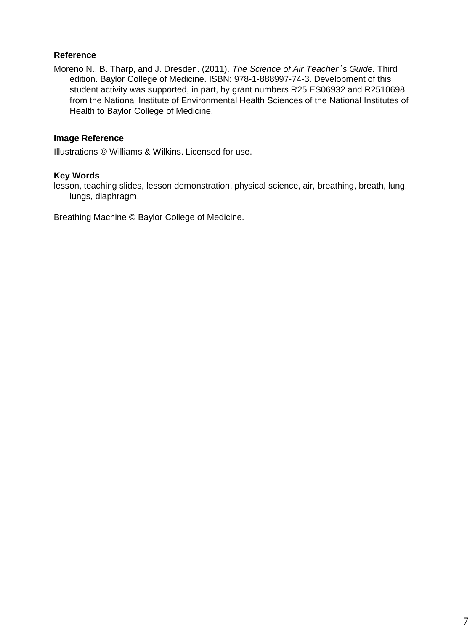Moreno N., B. Tharp, and J. Dresden. (2011). *The Science of Air Teacher*'*s Guide.* Third edition. Baylor College of Medicine. ISBN: 978-1-888997-74-3. Development of this student activity was supported, in part, by grant numbers R25 ES06932 and R2510698 from the National Institute of Environmental Health Sciences of the National Institutes of Health to Baylor College of Medicine.

## **Image Reference**

Illustrations © Williams & Wilkins. Licensed for use.

#### **Key Words**

lesson, teaching slides, lesson demonstration, physical science, air, breathing, breath, lung, lungs, diaphragm,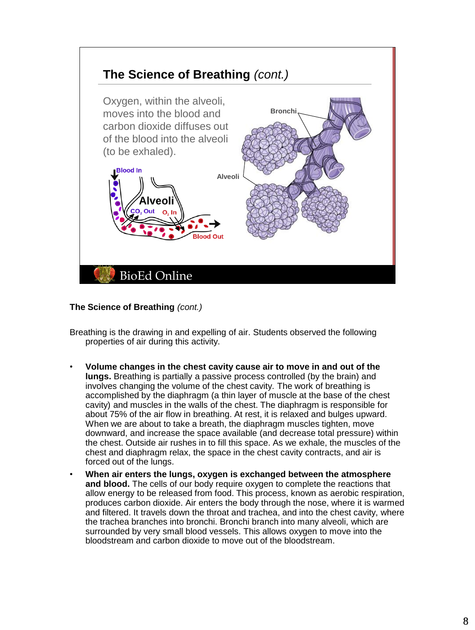

**The Science of Breathing** *(cont.)*

Breathing is the drawing in and expelling of air. Students observed the following properties of air during this activity.

- **Volume changes in the chest cavity cause air to move in and out of the lungs.** Breathing is partially a passive process controlled (by the brain) and involves changing the volume of the chest cavity. The work of breathing is accomplished by the diaphragm (a thin layer of muscle at the base of the chest cavity) and muscles in the walls of the chest. The diaphragm is responsible for about 75% of the air flow in breathing. At rest, it is relaxed and bulges upward. When we are about to take a breath, the diaphragm muscles tighten, move downward, and increase the space available (and decrease total pressure) within the chest. Outside air rushes in to fill this space. As we exhale, the muscles of the chest and diaphragm relax, the space in the chest cavity contracts, and air is forced out of the lungs.
- **When air enters the lungs, oxygen is exchanged between the atmosphere and blood.** The cells of our body require oxygen to complete the reactions that allow energy to be released from food. This process, known as aerobic respiration, produces carbon dioxide. Air enters the body through the nose, where it is warmed and filtered. It travels down the throat and trachea, and into the chest cavity, where the trachea branches into bronchi. Bronchi branch into many alveoli, which are surrounded by very small blood vessels. This allows oxygen to move into the bloodstream and carbon dioxide to move out of the bloodstream.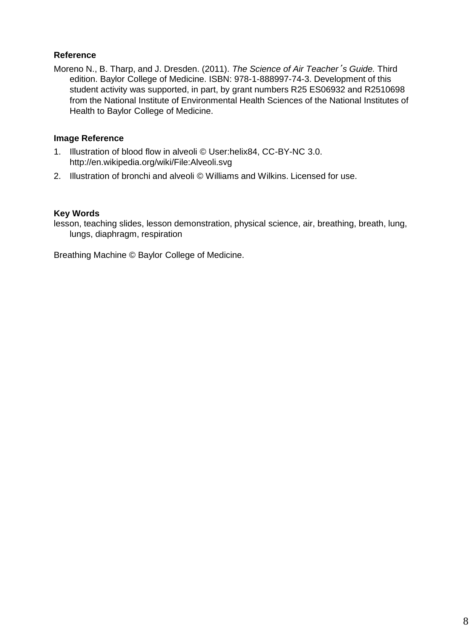Moreno N., B. Tharp, and J. Dresden. (2011). *The Science of Air Teacher*'*s Guide.* Third edition. Baylor College of Medicine. ISBN: 978-1-888997-74-3. Development of this student activity was supported, in part, by grant numbers R25 ES06932 and R2510698 from the National Institute of Environmental Health Sciences of the National Institutes of Health to Baylor College of Medicine.

## **Image Reference**

- 1. Illustration of blood flow in alveoli © User:helix84, CC-BY-NC 3.0. http://en.wikipedia.org/wiki/File:Alveoli.svg
- 2. Illustration of bronchi and alveoli © Williams and Wilkins. Licensed for use.

# **Key Words**

lesson, teaching slides, lesson demonstration, physical science, air, breathing, breath, lung, lungs, diaphragm, respiration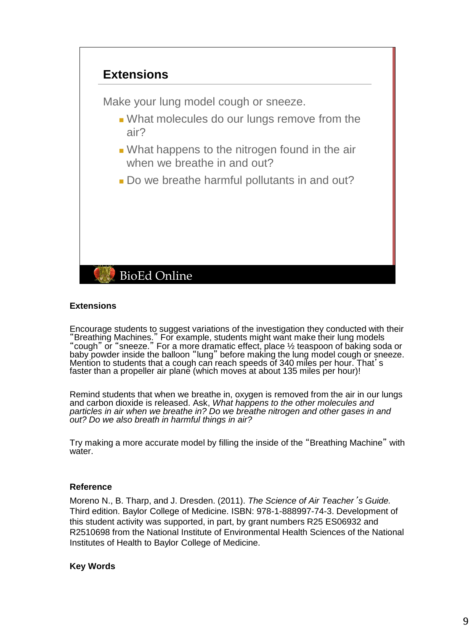

#### **Extensions**

Encourage students to suggest variations of the investigation they conducted with their "Breathing Machines." For example, students might want make their lung models "cough" or "sneeze." For a more dramatic effect, place ½ teaspoon of baking soda or baby powder inside the balloon "lung" before making the lung model cough or sneeze. Mention to students that a cough can reach speeds of 340 miles per hour. That's faster than a propeller air plane (which moves at about 135 miles per hour)!

Remind students that when we breathe in, oxygen is removed from the air in our lungs and carbon dioxide is released. Ask, *What happens to the other molecules and particles in air when we breathe in? Do we breathe nitrogen and other gases in and out? Do we also breath in harmful things in air?* 

Try making a more accurate model by filling the inside of the "Breathing Machine" with water.

#### **Reference**

Moreno N., B. Tharp, and J. Dresden. (2011). *The Science of Air Teacher*'*s Guide.* Third edition. Baylor College of Medicine. ISBN: 978-1-888997-74-3. Development of this student activity was supported, in part, by grant numbers R25 ES06932 and R2510698 from the National Institute of Environmental Health Sciences of the National Institutes of Health to Baylor College of Medicine.

## **Key Words**